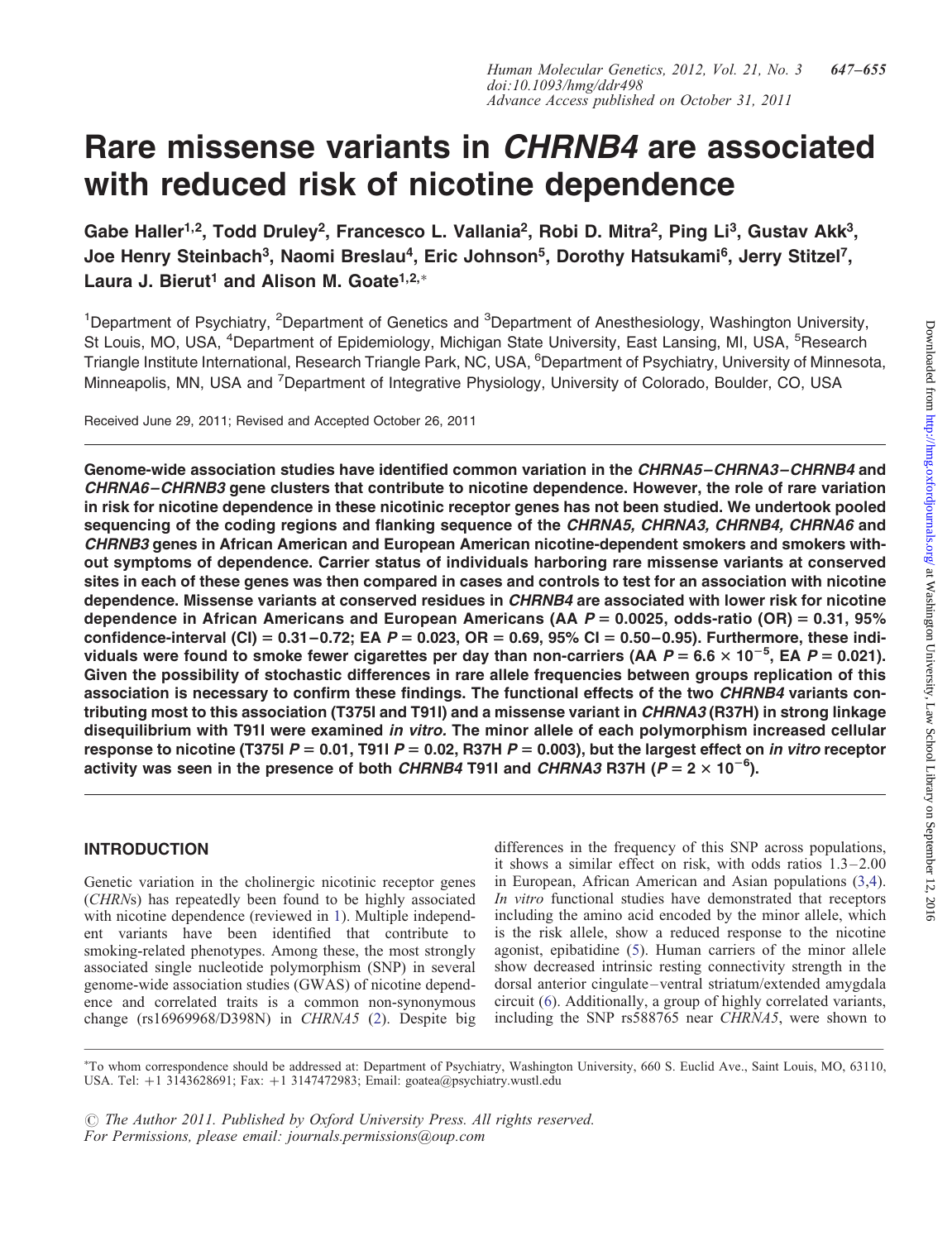# Rare missense variants in CHRNB4 are associated with reduced risk of nicotine dependence

Gabe Haller<sup>1,2</sup>, Todd Druley<sup>2</sup>, Francesco L. Vallania<sup>2</sup>, Robi D. Mitra<sup>2</sup>, Ping Li<sup>3</sup>, Gustav Akk<sup>3</sup>, Joe Henry Steinbach<sup>3</sup>, Naomi Breslau<sup>4</sup>, Eric Johnson<sup>5</sup>, Dorothy Hatsukami<sup>6</sup>, Jerry Stitzel<sup>7</sup>, Laura J. Bierut<sup>1</sup> and Alison M. Goate<sup>1,2,∗</sup>

<sup>1</sup>Department of Psychiatry, <sup>2</sup>Department of Genetics and <sup>3</sup>Department of Anesthesiology, Washington University, St Louis, MO, USA, <sup>4</sup>Department of Epidemiology, Michigan State University, East Lansing, MI, USA, <sup>5</sup>Research Triangle Institute International, Research Triangle Park, NC, USA, <sup>6</sup>Department of Psychiatry, University of Minnesota, Minneapolis, MN, USA and <sup>7</sup>Department of Integrative Physiology, University of Colorado, Boulder, CO, USA

Received June 29, 2011; Revised and Accepted October 26, 2011

Genome-wide association studies have identified common variation in the CHRNA5–CHRNA3–CHRNB4 and CHRNA6–CHRNB3 gene clusters that contribute to nicotine dependence. However, the role of rare variation in risk for nicotine dependence in these nicotinic receptor genes has not been studied. We undertook pooled sequencing of the coding regions and flanking sequence of the CHRNA5, CHRNA3, CHRNB4, CHRNA6 and CHRNB3 genes in African American and European American nicotine-dependent smokers and smokers without symptoms of dependence. Carrier status of individuals harboring rare missense variants at conserved sites in each of these genes was then compared in cases and controls to test for an association with nicotine dependence. Missense variants at conserved residues in CHRNB4 are associated with lower risk for nicotine dependence in African Americans and European Americans (AA  $P = 0.0025$ , odds-ratio (OR) = 0.31, 95% confidence-interval (CI) =  $0.31-0.72$ ; EA P =  $0.023$ , OR =  $0.69$ , 95% CI =  $0.50-0.95$ ). Furthermore, these individuals were found to smoke fewer cigarettes per day than non-carriers (AA  $P = 6.6 \times 10^{-5}$ , EA  $P = 0.021$ ). Given the possibility of stochastic differences in rare allele frequencies between groups replication of this association is necessary to confirm these findings. The functional effects of the two CHRNB4 variants contributing most to this association (T375I and T91I) and a missense variant in CHRNA3 (R37H) in strong linkage disequilibrium with T91I were examined in vitro. The minor allele of each polymorphism increased cellular response to nicotine (T375I  $P = 0.01$ , T91I  $P = 0.02$ , R37H  $P = 0.003$ ), but the largest effect on *in vitro* receptor activity was seen in the presence of both CHRNB4 T91I and CHRNA3 R37H (P = 2  $\times$  10<sup>-6</sup>).

# INTRODUCTION

Genetic variation in the cholinergic nicotinic receptor genes (CHRNs) has repeatedly been found to be highly associated with nicotine dependence (reviewed in [1](#page-8-0)). Multiple independent variants have been identified that contribute to smoking-related phenotypes. Among these, the most strongly associated single nucleotide polymorphism (SNP) in several genome-wide association studies (GWAS) of nicotine dependence and correlated traits is a common non-synonymous change (rs16969968/D398N) in CHRNA5 [\(2](#page-8-0)). Despite big

differences in the frequency of this SNP across populations, it shows a similar effect on risk, with odds ratios  $1.3-2.00$ in European, African American and Asian populations ([3,4](#page-8-0)). In vitro functional studies have demonstrated that receptors including the amino acid encoded by the minor allele, which is the risk allele, show a reduced response to the nicotine agonist, epibatidine [\(5](#page-8-0)). Human carriers of the minor allele show decreased intrinsic resting connectivity strength in the dorsal anterior cingulate – ventral striatum/extended amygdala circuit ([6\)](#page-8-0). Additionally, a group of highly correlated variants, including the SNP rs588765 near CHRNA5, were shown to

∗ To whom correspondence should be addressed at: Department of Psychiatry, Washington University, 660 S. Euclid Ave., Saint Louis, MO, 63110, USA. Tel: +1 3143628691; Fax: +1 3147472983; Email: goatea@psychiatry.wustl.edu

 $\odot$  The Author 2011. Published by Oxford University Press. All rights reserved. For Permissions, please email: journals.permissions@oup.com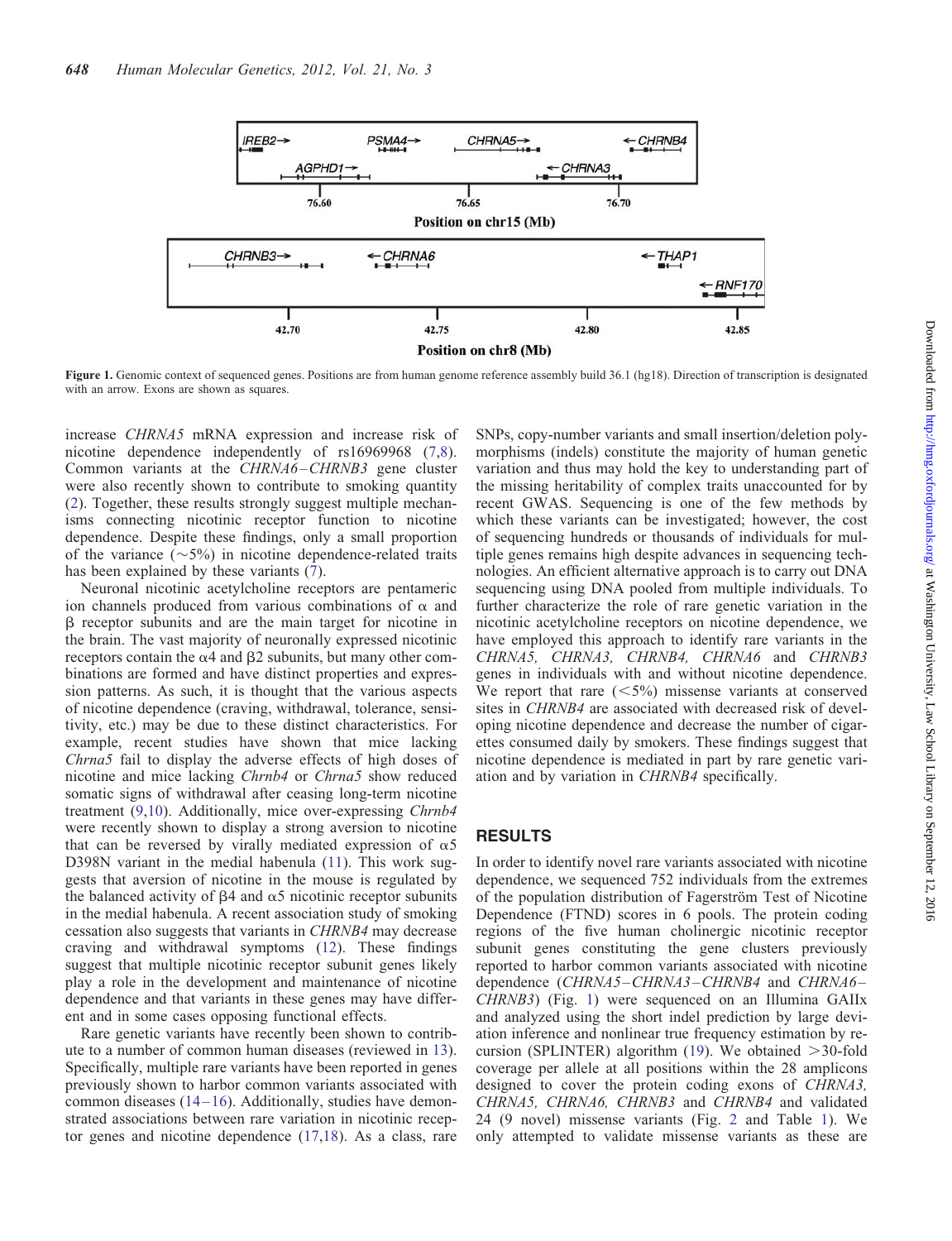

Figure 1. Genomic context of sequenced genes. Positions are from human genome reference assembly build 36.1 (hg18). Direction of transcription is designated with an arrow. Exons are shown as squares.

increase CHRNA5 mRNA expression and increase risk of nicotine dependence independently of rs16969968 ([7,8](#page-8-0)). Common variants at the CHRNA6–CHRNB3 gene cluster were also recently shown to contribute to smoking quantity [\(2](#page-8-0)). Together, these results strongly suggest multiple mechanisms connecting nicotinic receptor function to nicotine dependence. Despite these findings, only a small proportion of the variance  $(\sim 5\%)$  in nicotine dependence-related traits has been explained by these variants [\(7](#page-8-0)).

Neuronal nicotinic acetylcholine receptors are pentameric ion channels produced from various combinations of  $\alpha$  and b receptor subunits and are the main target for nicotine in the brain. The vast majority of neuronally expressed nicotinic receptors contain the  $\alpha$ 4 and  $\beta$ 2 subunits, but many other combinations are formed and have distinct properties and expression patterns. As such, it is thought that the various aspects of nicotine dependence (craving, withdrawal, tolerance, sensitivity, etc.) may be due to these distinct characteristics. For example, recent studies have shown that mice lacking Chrna5 fail to display the adverse effects of high doses of nicotine and mice lacking Chrnb4 or Chrna5 show reduced somatic signs of withdrawal after ceasing long-term nicotine treatment [\(9](#page-8-0),[10\)](#page-8-0). Additionally, mice over-expressing Chrnb4 were recently shown to display a strong aversion to nicotine that can be reversed by virally mediated expression of  $\alpha$ 5 D398N variant in the medial habenula ([11\)](#page-8-0). This work suggests that aversion of nicotine in the mouse is regulated by the balanced activity of  $\beta$ 4 and  $\alpha$ 5 nicotinic receptor subunits in the medial habenula. A recent association study of smoking cessation also suggests that variants in CHRNB4 may decrease craving and withdrawal symptoms ([12\)](#page-8-0). These findings suggest that multiple nicotinic receptor subunit genes likely play a role in the development and maintenance of nicotine dependence and that variants in these genes may have different and in some cases opposing functional effects.

Rare genetic variants have recently been shown to contribute to a number of common human diseases (reviewed in [13](#page-8-0)). Specifically, multiple rare variants have been reported in genes previously shown to harbor common variants associated with common diseases ([14](#page-8-0)–[16](#page-8-0)). Additionally, studies have demonstrated associations between rare variation in nicotinic receptor genes and nicotine dependence [\(17](#page-8-0),[18\)](#page-8-0). As a class, rare

SNPs, copy-number variants and small insertion/deletion polymorphisms (indels) constitute the majority of human genetic variation and thus may hold the key to understanding part of the missing heritability of complex traits unaccounted for by recent GWAS. Sequencing is one of the few methods by which these variants can be investigated; however, the cost of sequencing hundreds or thousands of individuals for multiple genes remains high despite advances in sequencing technologies. An efficient alternative approach is to carry out DNA sequencing using DNA pooled from multiple individuals. To further characterize the role of rare genetic variation in the nicotinic acetylcholine receptors on nicotine dependence, we have employed this approach to identify rare variants in the CHRNA5, CHRNA3, CHRNB4, CHRNA6 and CHRNB3 genes in individuals with and without nicotine dependence. We report that rare  $(<5\%)$  missense variants at conserved sites in CHRNB4 are associated with decreased risk of developing nicotine dependence and decrease the number of cigarettes consumed daily by smokers. These findings suggest that nicotine dependence is mediated in part by rare genetic variation and by variation in CHRNB4 specifically.

# RESULTS

In order to identify novel rare variants associated with nicotine dependence, we sequenced 752 individuals from the extremes of the population distribution of Fagerström Test of Nicotine Dependence (FTND) scores in 6 pools. The protein coding regions of the five human cholinergic nicotinic receptor subunit genes constituting the gene clusters previously reported to harbor common variants associated with nicotine dependence (CHRNA5–CHRNA3–CHRNB4 and CHRNA6– CHRNB3) (Fig. 1) were sequenced on an Illumina GAIIx and analyzed using the short indel prediction by large deviation inference and nonlinear true frequency estimation by recursion (SPLINTER) algorithm  $(19)$  $(19)$  $(19)$ . We obtained  $>$ 30-fold coverage per allele at all positions within the 28 amplicons designed to cover the protein coding exons of CHRNA3, CHRNA5, CHRNA6, CHRNB3 and CHRNB4 and validated 24 (9 novel) missense variants (Fig. [2](#page-2-0) and Table [1\)](#page-3-0). We only attempted to validate missense variants as these are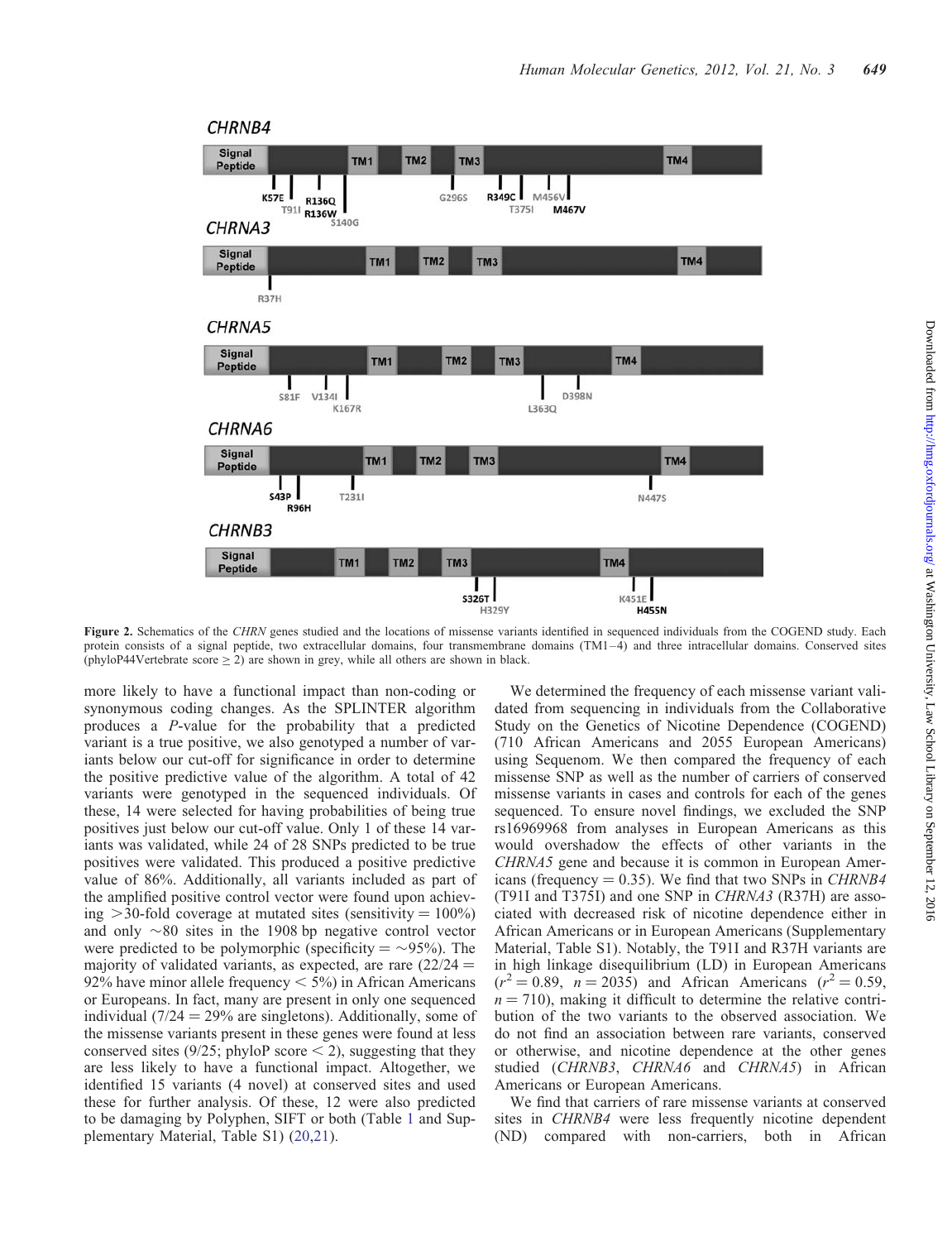<span id="page-2-0"></span>

Figure 2. Schematics of the CHRN genes studied and the locations of missense variants identified in sequenced individuals from the COGEND study. Each protein consists of a signal peptide, two extracellular domains, four transmembrane domains (TM1–4) and three intracellular domains. Conserved sites (phyloP44Vertebrate score  $\geq 2$ ) are shown in grey, while all others are shown in black.

more likely to have a functional impact than non-coding or synonymous coding changes. As the SPLINTER algorithm produces a P-value for the probability that a predicted variant is a true positive, we also genotyped a number of variants below our cut-off for significance in order to determine the positive predictive value of the algorithm. A total of 42 variants were genotyped in the sequenced individuals. Of these, 14 were selected for having probabilities of being true positives just below our cut-off value. Only 1 of these 14 variants was validated, while 24 of 28 SNPs predicted to be true positives were validated. This produced a positive predictive value of 86%. Additionally, all variants included as part of the amplified positive control vector were found upon achieving  $>$ 30-fold coverage at mutated sites (sensitivity = 100%) and only  $\sim 80$  sites in the 1908 bp negative control vector were predicted to be polymorphic (specificity  $= \sim 95\%$ ). The majority of validated variants, as expected, are rare  $(22/24 =$ 92% have minor allele frequency  $\lt$  5%) in African Americans or Europeans. In fact, many are present in only one sequenced individual ( $7/24 = 29\%$  are singletons). Additionally, some of the missense variants present in these genes were found at less conserved sites (9/25; phyloP score  $<$  2), suggesting that they are less likely to have a functional impact. Altogether, we identified 15 variants (4 novel) at conserved sites and used these for further analysis. Of these, 12 were also predicted to be damaging by Polyphen, SIFT or both (Table [1](#page-3-0) and [Sup](http://hmg.oxfordjournals.org/lookup/suppl/doi:10.1093/hmg/ddr498/-/DC1)[plementary Material, Table S1](http://hmg.oxfordjournals.org/lookup/suppl/doi:10.1093/hmg/ddr498/-/DC1)) [\(20](#page-8-0),[21\)](#page-8-0).

We determined the frequency of each missense variant validated from sequencing in individuals from the Collaborative Study on the Genetics of Nicotine Dependence (COGEND) (710 African Americans and 2055 European Americans) using Sequenom. We then compared the frequency of each missense SNP as well as the number of carriers of conserved missense variants in cases and controls for each of the genes sequenced. To ensure novel findings, we excluded the SNP rs16969968 from analyses in European Americans as this would overshadow the effects of other variants in the CHRNA5 gene and because it is common in European Americans (frequency  $= 0.35$ ). We find that two SNPs in *CHRNB4* (T91I and T375I) and one SNP in CHRNA3 (R37H) are associated with decreased risk of nicotine dependence either in African Americans or in European Americans [\(Supplementary](http://hmg.oxfordjournals.org/lookup/suppl/doi:10.1093/hmg/ddr498/-/DC1) [Material, Table S1](http://hmg.oxfordjournals.org/lookup/suppl/doi:10.1093/hmg/ddr498/-/DC1)). Notably, the T91I and R37H variants are in high linkage disequilibrium (LD) in European Americans  $(r^2 = 0.89, n = 2035)$  and African Americans  $(r^2 = 0.59,$  $n = 710$ , making it difficult to determine the relative contribution of the two variants to the observed association. We do not find an association between rare variants, conserved or otherwise, and nicotine dependence at the other genes studied (CHRNB3, CHRNA6 and CHRNA5) in African Americans or European Americans.

We find that carriers of rare missense variants at conserved sites in CHRNB4 were less frequently nicotine dependent (ND) compared with non-carriers, both in African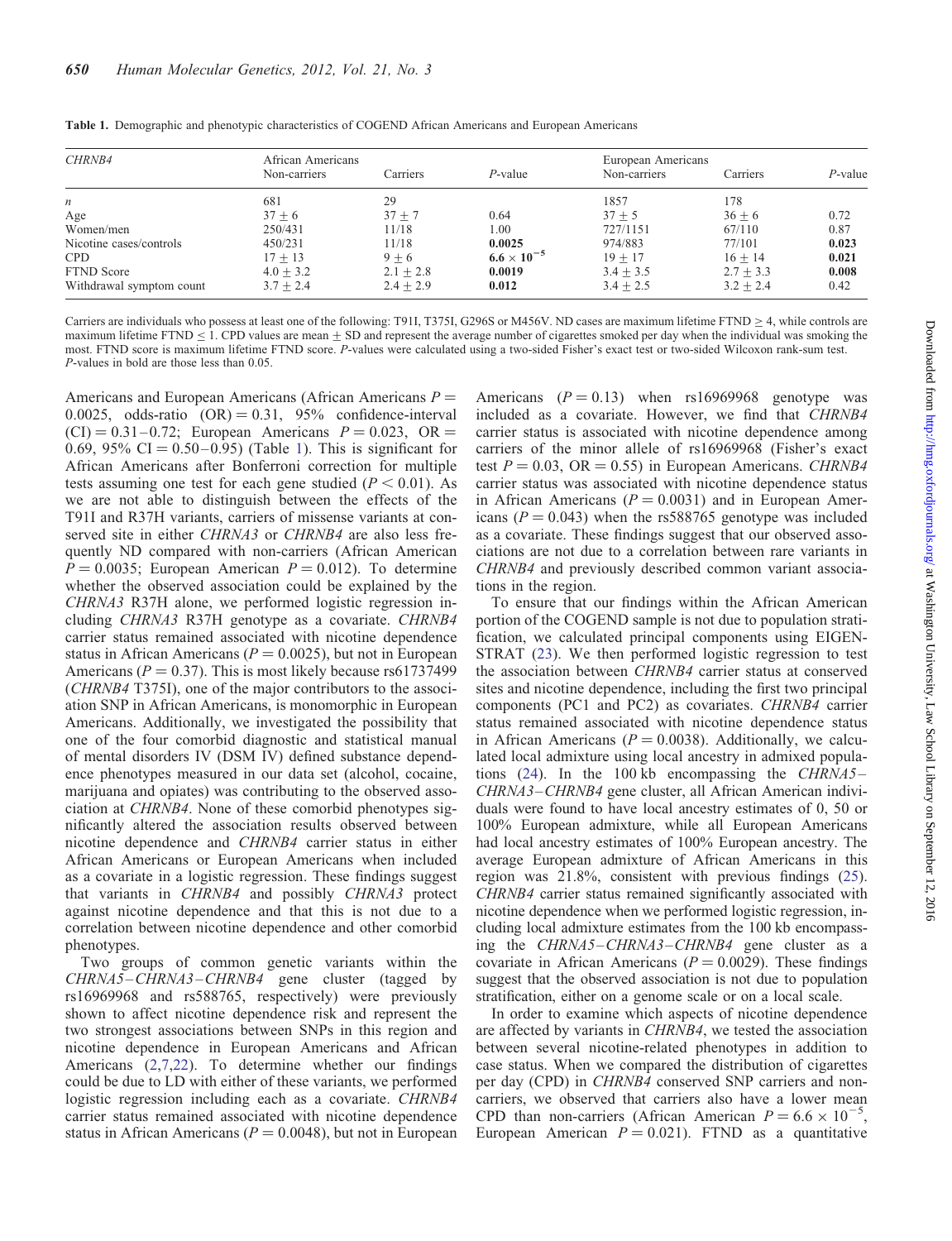| <b>CHRNB4</b>            | African Americans<br>Non-carriers | Carriers    | $P$ -value           | European Americans<br>Non-carriers | Carriers    | $P$ -value |
|--------------------------|-----------------------------------|-------------|----------------------|------------------------------------|-------------|------------|
| $\boldsymbol{n}$         | 681                               | 29          |                      | 1857                               | 178         |            |
| Age                      | $37 + 6$                          | $37 + 7$    | 0.64                 | $37 + 5$                           | $36 + 6$    | 0.72       |
| Women/men                | 250/431                           | 11/18       | 1.00                 | 727/1151                           | 67/110      | 0.87       |
| Nicotine cases/controls  | 450/231                           | 11/18       | 0.0025               | 974/883                            | 77/101      | 0.023      |
| <b>CPD</b>               | $17 + 13$                         | $9 + 6$     | $6.6 \times 10^{-5}$ | $19 + 17$                          | $16 + 14$   | 0.021      |
| <b>FTND</b> Score        | $4.0 + 3.2$                       | $2.1 + 2.8$ | 0.0019               | $3.4 + 3.5$                        | $2.7 + 3.3$ | 0.008      |
| Withdrawal symptom count | $3.7 + 2.4$                       | $2.4 + 2.9$ | 0.012                | $3.4 + 2.5$                        | $3.2 + 2.4$ | 0.42       |

<span id="page-3-0"></span>Table 1. Demographic and phenotypic characteristics of COGEND African Americans and European Americans

Carriers are individuals who possess at least one of the following: T91I, T375I, G296S or M456V. ND cases are maximum lifetime FTND  $\geq$  4, while controls are maximum lifetime FTND  $\leq$  1. CPD values are mean  $\pm$  SD and represent the average number of cigarettes smoked per day when the individual was smoking the most. FTND score is maximum lifetime FTND score. P-values were calculated using a two-sided Fisher's exact test or two-sided Wilcoxon rank-sum test. P-values in bold are those less than 0.05.

Americans and European Americans (African Americans  $P =$ 0.0025, odds-ratio  $(OR) = 0.31$ , 95% confidence-interval  $(CI) = 0.31 - 0.72$ ; European Americans  $P = 0.023$ , OR = 0.69, 95% CI = 0.50–0.95) (Table 1). This is significant for African Americans after Bonferroni correction for multiple tests assuming one test for each gene studied ( $P < 0.01$ ). As we are not able to distinguish between the effects of the T91I and R37H variants, carriers of missense variants at conserved site in either *CHRNA3* or *CHRNB4* are also less frequently ND compared with non-carriers (African American  $P = 0.0035$ ; European American  $P = 0.012$ ). To determine whether the observed association could be explained by the CHRNA3 R37H alone, we performed logistic regression including CHRNA3 R37H genotype as a covariate. CHRNB4 carrier status remained associated with nicotine dependence status in African Americans ( $P = 0.0025$ ), but not in European Americans ( $P = 0.37$ ). This is most likely because rs61737499 (CHRNB4 T375I), one of the major contributors to the association SNP in African Americans, is monomorphic in European Americans. Additionally, we investigated the possibility that one of the four comorbid diagnostic and statistical manual of mental disorders IV (DSM IV) defined substance dependence phenotypes measured in our data set (alcohol, cocaine, marijuana and opiates) was contributing to the observed association at CHRNB4. None of these comorbid phenotypes significantly altered the association results observed between nicotine dependence and CHRNB4 carrier status in either African Americans or European Americans when included as a covariate in a logistic regression. These findings suggest that variants in CHRNB4 and possibly CHRNA3 protect against nicotine dependence and that this is not due to a correlation between nicotine dependence and other comorbid phenotypes.

Two groups of common genetic variants within the CHRNA5–CHRNA3–CHRNB4 gene cluster (tagged by rs16969968 and rs588765, respectively) were previously shown to affect nicotine dependence risk and represent the two strongest associations between SNPs in this region and nicotine dependence in European Americans and African Americans [\(2](#page-8-0),[7,22](#page-8-0)). To determine whether our findings could be due to LD with either of these variants, we performed logistic regression including each as a covariate. *CHRNB4* carrier status remained associated with nicotine dependence status in African Americans ( $P = 0.0048$ ), but not in European

Americans  $(P = 0.13)$  when rs16969968 genotype was included as a covariate. However, we find that CHRNB4 carrier status is associated with nicotine dependence among carriers of the minor allele of rs16969968 (Fisher's exact test  $P = 0.03$ , OR = 0.55) in European Americans. CHRNB4 carrier status was associated with nicotine dependence status in African Americans ( $P = 0.0031$ ) and in European Americans ( $P = 0.043$ ) when the rs588765 genotype was included as a covariate. These findings suggest that our observed associations are not due to a correlation between rare variants in CHRNB4 and previously described common variant associations in the region.

To ensure that our findings within the African American portion of the COGEND sample is not due to population stratification, we calculated principal components using EIGEN-STRAT [\(23](#page-8-0)). We then performed logistic regression to test the association between CHRNB4 carrier status at conserved sites and nicotine dependence, including the first two principal components (PC1 and PC2) as covariates. CHRNB4 carrier status remained associated with nicotine dependence status in African Americans ( $P = 0.0038$ ). Additionally, we calculated local admixture using local ancestry in admixed popula-tions [\(24](#page-8-0)). In the 100 kb encompassing the CHRNA5– CHRNA3–CHRNB4 gene cluster, all African American individuals were found to have local ancestry estimates of 0, 50 or 100% European admixture, while all European Americans had local ancestry estimates of 100% European ancestry. The average European admixture of African Americans in this region was 21.8%, consistent with previous findings [\(25](#page-8-0)). CHRNB4 carrier status remained significantly associated with nicotine dependence when we performed logistic regression, including local admixture estimates from the 100 kb encompassing the CHRNA5–CHRNA3–CHRNB4 gene cluster as a covariate in African Americans ( $P = 0.0029$ ). These findings suggest that the observed association is not due to population stratification, either on a genome scale or on a local scale.

In order to examine which aspects of nicotine dependence are affected by variants in CHRNB4, we tested the association between several nicotine-related phenotypes in addition to case status. When we compared the distribution of cigarettes per day (CPD) in CHRNB4 conserved SNP carriers and noncarriers, we observed that carriers also have a lower mean CPD than non-carriers (African American  $P = 6.6 \times 10^{-5}$ , European American  $P = 0.021$ . FTND as a quantitative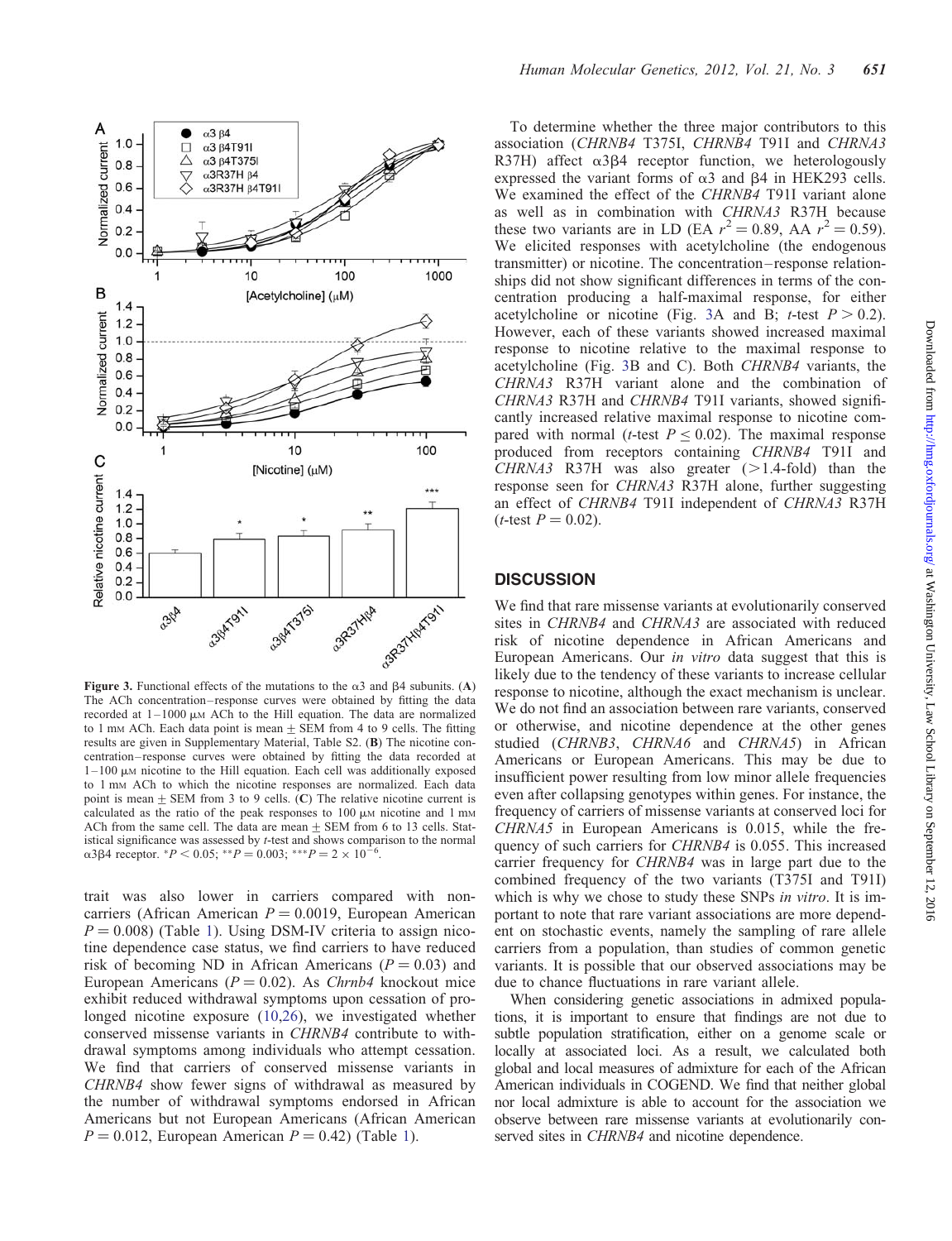

Figure 3. Functional effects of the mutations to the  $\alpha$ 3 and  $\beta$ 4 subunits. (A) The ACh concentration– response curves were obtained by fitting the data recorded at  $1-1000 \mu M$  ACh to the Hill equation. The data are normalized to 1 mm ACh. Each data point is mean  $\pm$  SEM from 4 to 9 cells. The fitting results are given in [Supplementary Material, Table S2.](http://hmg.oxfordjournals.org/lookup/suppl/doi:10.1093/hmg/ddr498/-/DC1) (B) The nicotine concentration– response curves were obtained by fitting the data recorded at  $1-100 \mu$ M nicotine to the Hill equation. Each cell was additionally exposed to 1 mM ACh to which the nicotine responses are normalized. Each data point is mean  $\pm$  SEM from 3 to 9 cells. (C) The relative nicotine current is calculated as the ratio of the peak responses to  $100 \mu$ M nicotine and  $1 \text{ mm}$ ACh from the same cell. The data are mean  $\pm$  SEM from 6 to 13 cells. Statistical significance was assessed by t-test and shows comparison to the normal  $\alpha$ 3β4 receptor. \* $P < 0.05$ ; \*\* $P = 0.003$ ; \*\*\* $P = 2 \times 10^{-7}$ .

trait was also lower in carriers compared with noncarriers (African American  $P = 0.0019$ , European American  $P = 0.008$ ) (Table [1](#page-3-0)). Using DSM-IV criteria to assign nicotine dependence case status, we find carriers to have reduced risk of becoming ND in African Americans ( $P = 0.03$ ) and European Americans ( $P = 0.02$ ). As *Chrnb4* knockout mice exhibit reduced withdrawal symptoms upon cessation of prolonged nicotine exposure [\(10](#page-8-0),[26\)](#page-8-0), we investigated whether conserved missense variants in CHRNB4 contribute to withdrawal symptoms among individuals who attempt cessation. We find that carriers of conserved missense variants in CHRNB4 show fewer signs of withdrawal as measured by the number of withdrawal symptoms endorsed in African Americans but not European Americans (African American  $P = 0.012$ , European American  $P = 0.42$ ) (Table [1\)](#page-3-0).

To determine whether the three major contributors to this association (CHRNB4 T375I, CHRNB4 T91I and CHRNA3 R37H) affect  $\alpha$ 3 $\beta$ 4 receptor function, we heterologously expressed the variant forms of  $\alpha$ 3 and  $\beta$ 4 in HEK293 cells. We examined the effect of the *CHRNB4* T91I variant alone as well as in combination with CHRNA3 R37H because these two variants are in LD (EA  $r^2 = 0.89$ , AA  $r^2 = 0.59$ ). We elicited responses with acetylcholine (the endogenous transmitter) or nicotine. The concentration – response relationships did not show significant differences in terms of the concentration producing a half-maximal response, for either acetylcholine or nicotine (Fig. 3A and B; *t*-test  $P > 0.2$ ). However, each of these variants showed increased maximal response to nicotine relative to the maximal response to acetylcholine (Fig. 3B and C). Both CHRNB4 variants, the CHRNA3 R37H variant alone and the combination of CHRNA3 R37H and CHRNB4 T91I variants, showed significantly increased relative maximal response to nicotine compared with normal (*t*-test  $P \le 0.02$ ). The maximal response produced from receptors containing CHRNB4 T91I and CHRNA3 R37H was also greater  $(>1.4\text{-fold})$  than the response seen for CHRNA3 R37H alone, further suggesting an effect of CHRNB4 T91I independent of CHRNA3 R37H (*t*-test  $P = 0.02$ ).

#### **DISCUSSION**

We find that rare missense variants at evolutionarily conserved sites in *CHRNB4* and *CHRNA3* are associated with reduced risk of nicotine dependence in African Americans and European Americans. Our in vitro data suggest that this is likely due to the tendency of these variants to increase cellular response to nicotine, although the exact mechanism is unclear. We do not find an association between rare variants, conserved or otherwise, and nicotine dependence at the other genes studied (CHRNB3, CHRNA6 and CHRNA5) in African Americans or European Americans. This may be due to insufficient power resulting from low minor allele frequencies even after collapsing genotypes within genes. For instance, the frequency of carriers of missense variants at conserved loci for CHRNA5 in European Americans is 0.015, while the frequency of such carriers for CHRNB4 is 0.055. This increased carrier frequency for CHRNB4 was in large part due to the combined frequency of the two variants (T375I and T91I) which is why we chose to study these SNPs in vitro. It is important to note that rare variant associations are more dependent on stochastic events, namely the sampling of rare allele carriers from a population, than studies of common genetic variants. It is possible that our observed associations may be due to chance fluctuations in rare variant allele.

When considering genetic associations in admixed populations, it is important to ensure that findings are not due to subtle population stratification, either on a genome scale or locally at associated loci. As a result, we calculated both global and local measures of admixture for each of the African American individuals in COGEND. We find that neither global nor local admixture is able to account for the association we observe between rare missense variants at evolutionarily conserved sites in *CHRNB4* and nicotine dependence.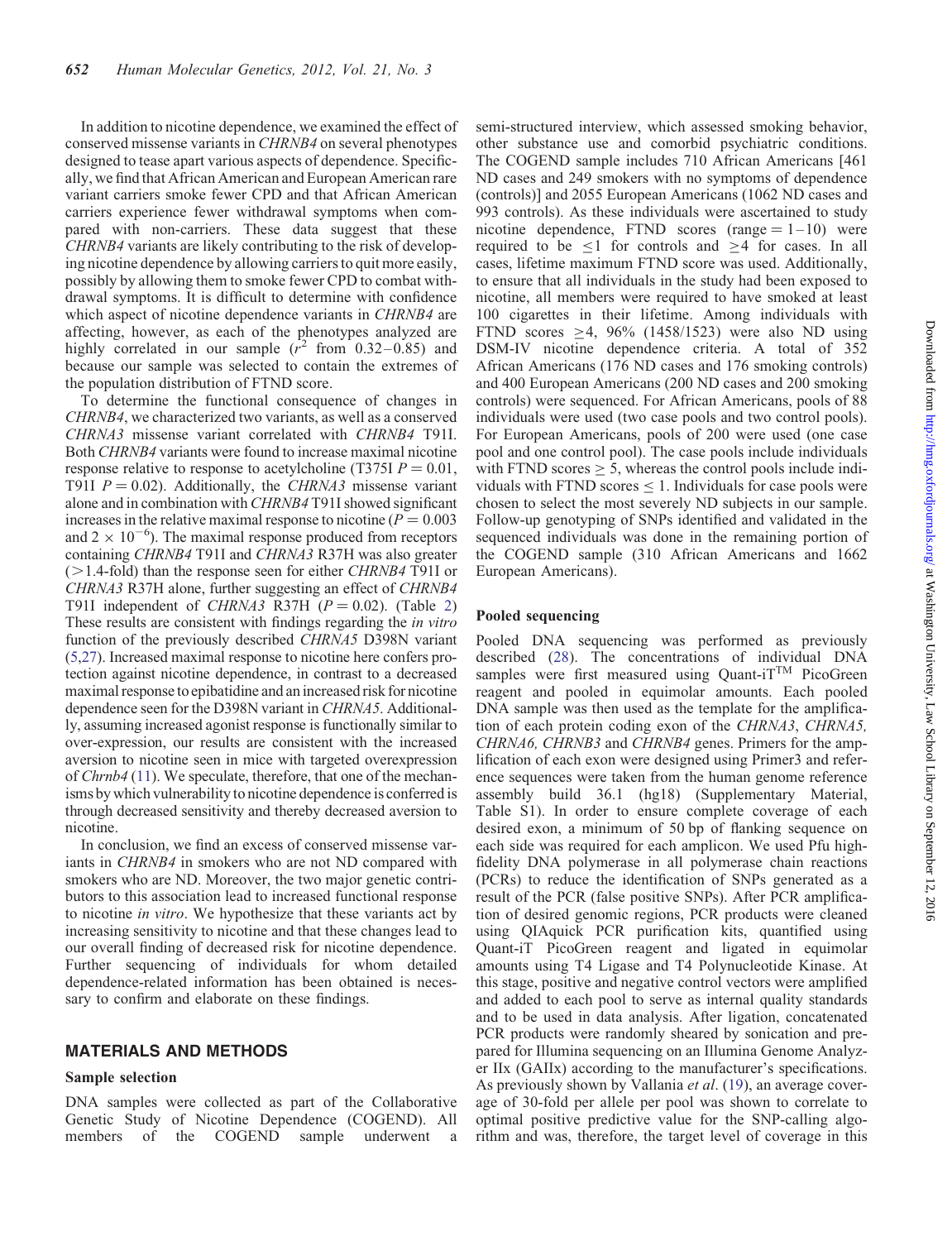In addition to nicotine dependence, we examined the effect of conserved missense variants in CHRNB4 on several phenotypes designed to tease apart various aspects of dependence. Specifically, we find that African American and European American rare variant carriers smoke fewer CPD and that African American carriers experience fewer withdrawal symptoms when compared with non-carriers. These data suggest that these CHRNB4 variants are likely contributing to the risk of developing nicotine dependence by allowing carriers to quit more easily, possibly by allowing them to smoke fewer CPD to combat withdrawal symptoms. It is difficult to determine with confidence which aspect of nicotine dependence variants in CHRNB4 are affecting, however, as each of the phenotypes analyzed are highly correlated in our sample  $(r^2 \text{ from } 0.32-0.85)$  and because our sample was selected to contain the extremes of the population distribution of FTND score.

To determine the functional consequence of changes in CHRNB4, we characterized two variants, as well as a conserved CHRNA3 missense variant correlated with CHRNB4 T91I. Both CHRNB4 variants were found to increase maximal nicotine response relative to response to acetylcholine (T375I  $P = 0.01$ , T91I  $P = 0.02$ ). Additionally, the CHRNA3 missense variant alone and in combination with CHRNB4 T91I showed significant increases in the relative maximal response to nicotine ( $P = 0.003$ ) and  $2 \times 10^{-6}$ ). The maximal response produced from receptors containing CHRNB4 T91I and CHRNA3 R37H was also greater  $(>1.4$ -fold) than the response seen for either *CHRNB4* T91I or CHRNA3 R37H alone, further suggesting an effect of CHRNB4 T91I independent of *CHRNA3* R37H ( $P = 0.02$ ). (Table [2\)](#page-6-0) These results are consistent with findings regarding the in vitro function of the previously described CHRNA5 D398N variant [\(5](#page-8-0),[27](#page-8-0)). Increased maximal response to nicotine here confers protection against nicotine dependence, in contrast to a decreased maximal responseto epibatidine and an increased risk for nicotine dependence seen for the D398N variant in CHRNA5. Additionally, assuming increased agonist response is functionally similar to over-expression, our results are consistent with the increased aversion to nicotine seen in mice with targeted overexpression of Chrnb4 ([11](#page-8-0)). We speculate, therefore, that one of the mechanisms by which vulnerability to nicotine dependence is conferred is through decreased sensitivity and thereby decreased aversion to nicotine.

In conclusion, we find an excess of conserved missense variants in CHRNB4 in smokers who are not ND compared with smokers who are ND. Moreover, the two major genetic contributors to this association lead to increased functional response to nicotine in vitro. We hypothesize that these variants act by increasing sensitivity to nicotine and that these changes lead to our overall finding of decreased risk for nicotine dependence. Further sequencing of individuals for whom detailed dependence-related information has been obtained is necessary to confirm and elaborate on these findings.

#### MATERIALS AND METHODS

#### Sample selection

DNA samples were collected as part of the Collaborative Genetic Study of Nicotine Dependence (COGEND). All members of the COGEND sample underwent

semi-structured interview, which assessed smoking behavior, other substance use and comorbid psychiatric conditions. The COGEND sample includes 710 African Americans [461 ND cases and 249 smokers with no symptoms of dependence (controls)] and 2055 European Americans (1062 ND cases and 993 controls). As these individuals were ascertained to study nicotine dependence, FTND scores (range  $= 1 - 10$ ) were required to be  $\leq 1$  for controls and  $\geq 4$  for cases. In all cases, lifetime maximum FTND score was used. Additionally, to ensure that all individuals in the study had been exposed to nicotine, all members were required to have smoked at least 100 cigarettes in their lifetime. Among individuals with FTND scores  $\geq$ 4, 96% (1458/1523) were also ND using DSM-IV nicotine dependence criteria. A total of 352 African Americans (176 ND cases and 176 smoking controls) and 400 European Americans (200 ND cases and 200 smoking controls) were sequenced. For African Americans, pools of 88 individuals were used (two case pools and two control pools). For European Americans, pools of 200 were used (one case pool and one control pool). The case pools include individuals with FTND scores  $\geq$  5, whereas the control pools include individuals with FTND scores  $\leq 1$ . Individuals for case pools were chosen to select the most severely ND subjects in our sample. Follow-up genotyping of SNPs identified and validated in the sequenced individuals was done in the remaining portion of the COGEND sample (310 African Americans and 1662 European Americans).

#### Pooled sequencing

Pooled DNA sequencing was performed as previously described [\(28](#page-8-0)). The concentrations of individual DNA samples were first measured using Quant-iT<sup>TM</sup> PicoGreen reagent and pooled in equimolar amounts. Each pooled DNA sample was then used as the template for the amplification of each protein coding exon of the CHRNA3, CHRNA5, CHRNA6, CHRNB3 and CHRNB4 genes. Primers for the amplification of each exon were designed using Primer3 and reference sequences were taken from the human genome reference assembly build 36.1 (hg18) ([Supplementary Material,](http://hmg.oxfordjournals.org/lookup/suppl/doi:10.1093/hmg/ddr498/-/DC1) [Table S1\)](http://hmg.oxfordjournals.org/lookup/suppl/doi:10.1093/hmg/ddr498/-/DC1). In order to ensure complete coverage of each desired exon, a minimum of 50 bp of flanking sequence on each side was required for each amplicon. We used Pfu highfidelity DNA polymerase in all polymerase chain reactions (PCRs) to reduce the identification of SNPs generated as a result of the PCR (false positive SNPs). After PCR amplification of desired genomic regions, PCR products were cleaned using QIAquick PCR purification kits, quantified using Quant-iT PicoGreen reagent and ligated in equimolar amounts using T4 Ligase and T4 Polynucleotide Kinase. At this stage, positive and negative control vectors were amplified and added to each pool to serve as internal quality standards and to be used in data analysis. After ligation, concatenated PCR products were randomly sheared by sonication and prepared for Illumina sequencing on an Illumina Genome Analyzer IIx (GAIIx) according to the manufacturer's specifications. As previously shown by Vallania et al. [\(19](#page-8-0)), an average coverage of 30-fold per allele per pool was shown to correlate to optimal positive predictive value for the SNP-calling algorithm and was, therefore, the target level of coverage in this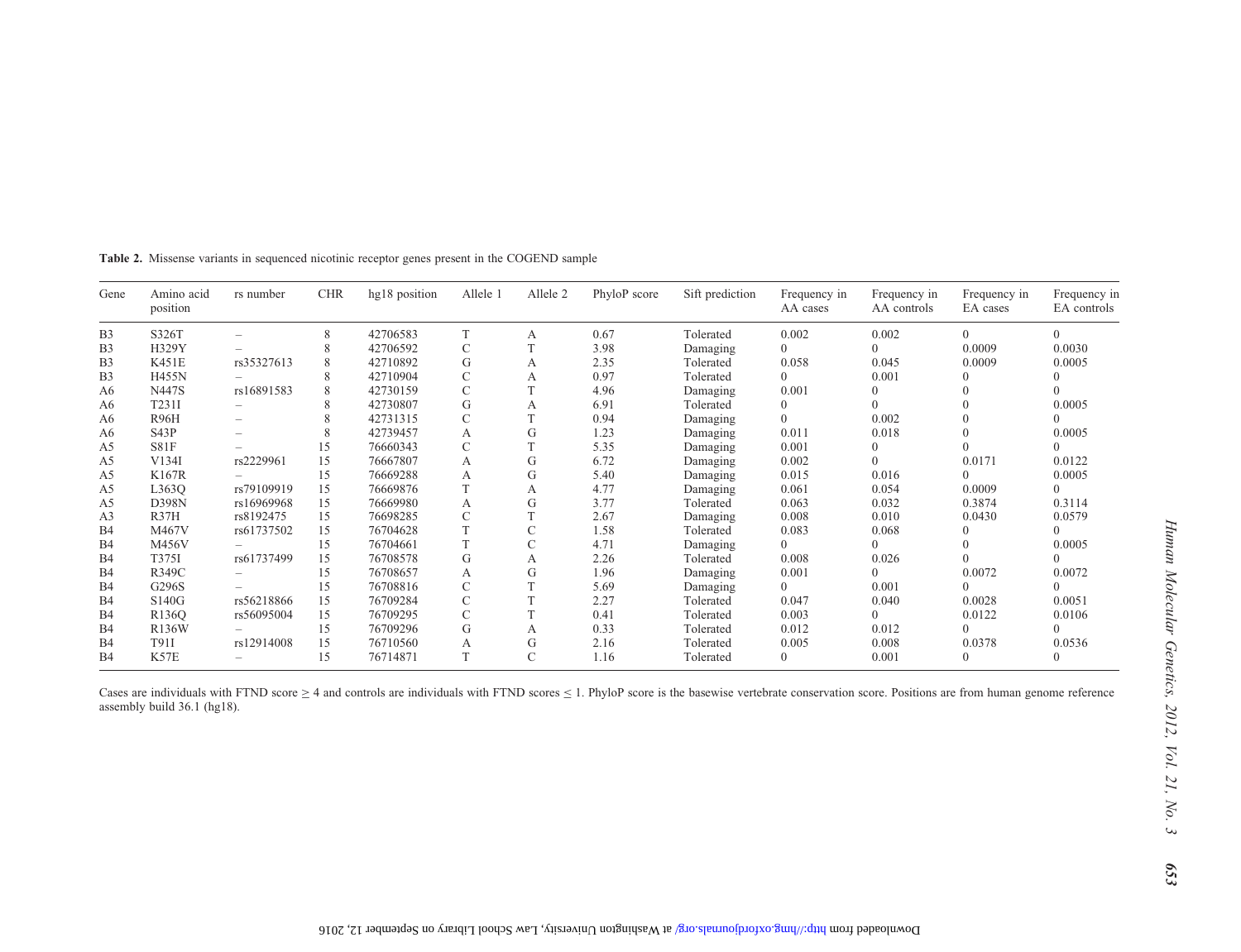| Gene           | Amino acid<br>position | rs number  | <b>CHR</b> | hg18 position | Allele 1      | Allele 2 | PhyloP score | Sift prediction | Frequency in<br>AA cases | Frequency in<br>AA controls | Frequency in<br>EA cases | Frequency in<br>EA controls |
|----------------|------------------------|------------|------------|---------------|---------------|----------|--------------|-----------------|--------------------------|-----------------------------|--------------------------|-----------------------------|
| B <sub>3</sub> | S326T                  |            | 8          | 42706583      | T             | A        | 0.67         | Tolerated       | 0.002                    | 0.002                       | $\Omega$                 | $\Omega$                    |
| B <sub>3</sub> | H329Y                  |            | 8          | 42706592      | C             |          | 3.98         | Damaging        | 0                        | 0                           | 0.0009                   | 0.0030                      |
| B <sub>3</sub> | K451E                  | rs35327613 | 8          | 42710892      | G             | А        | 2.35         | Tolerated       | 0.058                    | 0.045                       | 0.0009                   | 0.0005                      |
| B <sub>3</sub> | <b>H455N</b>           |            | 8          | 42710904      | $\mathcal{C}$ | А        | 0.97         | Tolerated       | $\Omega$                 | 0.001                       | $\Omega$                 |                             |
| A6             | N447S                  | rs16891583 | 8          | 42730159      | C             |          | 4.96         | Damaging        | 0.001                    |                             | $\Omega$                 |                             |
| A6             | T231I                  |            | 8          | 42730807      | G             | А        | 6.91         | Tolerated       | 0                        |                             |                          | 0.0005                      |
| A6             | <b>R96H</b>            |            | 8          | 42731315      | $\mathcal{C}$ |          | 0.94         | Damaging        | $\Omega$                 | 0.002                       | $\Omega$                 |                             |
| A6             | S43P                   |            | 8          | 42739457      | А             | G        | 1.23         | Damaging        | 0.011                    | 0.018                       |                          | 0.0005                      |
| A5             | S81F                   |            | 15         | 76660343      | $\mathcal{C}$ |          | 5.35         | Damaging        | 0.001                    |                             |                          | $\Omega$                    |
| A5             | V134I                  | rs2229961  | 15         | 76667807      | А             | G        | 6.72         | Damaging        | 0.002                    |                             | 0.0171                   | 0.0122                      |
| A5             | K167R                  |            | 15         | 76669288      | A             | G        | 5.40         | Damaging        | 0.015                    | 0.016                       | $\Omega$                 | 0.0005                      |
| A5             | L363O                  | rs79109919 | 15         | 76669876      |               | А        | 4.77         | Damaging        | 0.061                    | 0.054                       | 0.0009                   | $\Omega$                    |
| A5             | <b>D398N</b>           | rs16969968 | 15         | 76669980      | A             | G        | 3.77         | Tolerated       | 0.063                    | 0.032                       | 0.3874                   | 0.3114                      |
| A <sub>3</sub> | R37H                   | rs8192475  | 15         | 76698285      | C             |          | 2.67         | Damaging        | 0.008                    | 0.010                       | 0.0430                   | 0.0579                      |
| B <sub>4</sub> | M467V                  | rs61737502 | 15         | 76704628      |               |          | 1.58         | Tolerated       | 0.083                    | 0.068                       |                          | $\Omega$                    |
| B <sub>4</sub> | M456V                  |            | 15         | 76704661      |               |          | 4.71         | Damaging        | $\Omega$                 | 0                           | $\Omega$                 | 0.0005                      |
| B <sub>4</sub> | T375I                  | rs61737499 | 15         | 76708578      | G             | А        | 2.26         | Tolerated       | 0.008                    | 0.026                       |                          | $\Omega$                    |
| B <sub>4</sub> | R349C                  |            | 15         | 76708657      | А             | G        | 1.96         | Damaging        | 0.001                    | $\Omega$                    | 0.0072                   | 0.0072                      |
| B <sub>4</sub> | G296S                  |            | 15         | 76708816      | $\mathcal{C}$ |          | 5.69         | Damaging        | $\Omega$                 | 0.001                       |                          |                             |
| B <sub>4</sub> | S140G                  | rs56218866 | 15         | 76709284      | C             |          | 2.27         | Tolerated       | 0.047                    | 0.040                       | 0.0028                   | 0.0051                      |
| B <sub>4</sub> | R <sub>136</sub> O     | rs56095004 | 15         | 76709295      |               |          | 0.41         | Tolerated       | 0.003                    | 0                           | 0.0122                   | 0.0106                      |
| B <sub>4</sub> | R136W                  |            | 15         | 76709296      | G             | А        | 0.33         | Tolerated       | 0.012                    | 0.012                       |                          |                             |
| B <sub>4</sub> | T91I                   | rs12914008 | 15         | 76710560      | А             | G        | 2.16         | Tolerated       | 0.005                    | 0.008                       | 0.0378                   | 0.0536                      |
| B <sub>4</sub> | K57E                   |            | 15         | 76714871      |               |          | 1.16         | Tolerated       | $\Omega$                 | 0.001                       | $\theta$                 | $\Omega$                    |

<span id="page-6-0"></span>Table 2. Missense variants in sequenced nicotinic receptor genes presen<sup>t</sup> in the COGEND sample

Cases are individuals with FTND score  $\geq 4$  and controls are individuals with FTND scores  $\leq 1$ . PhyloP score is the basewise vertebrate conservation score. Positions are from human genome reference assembly build 36.1 (hg18).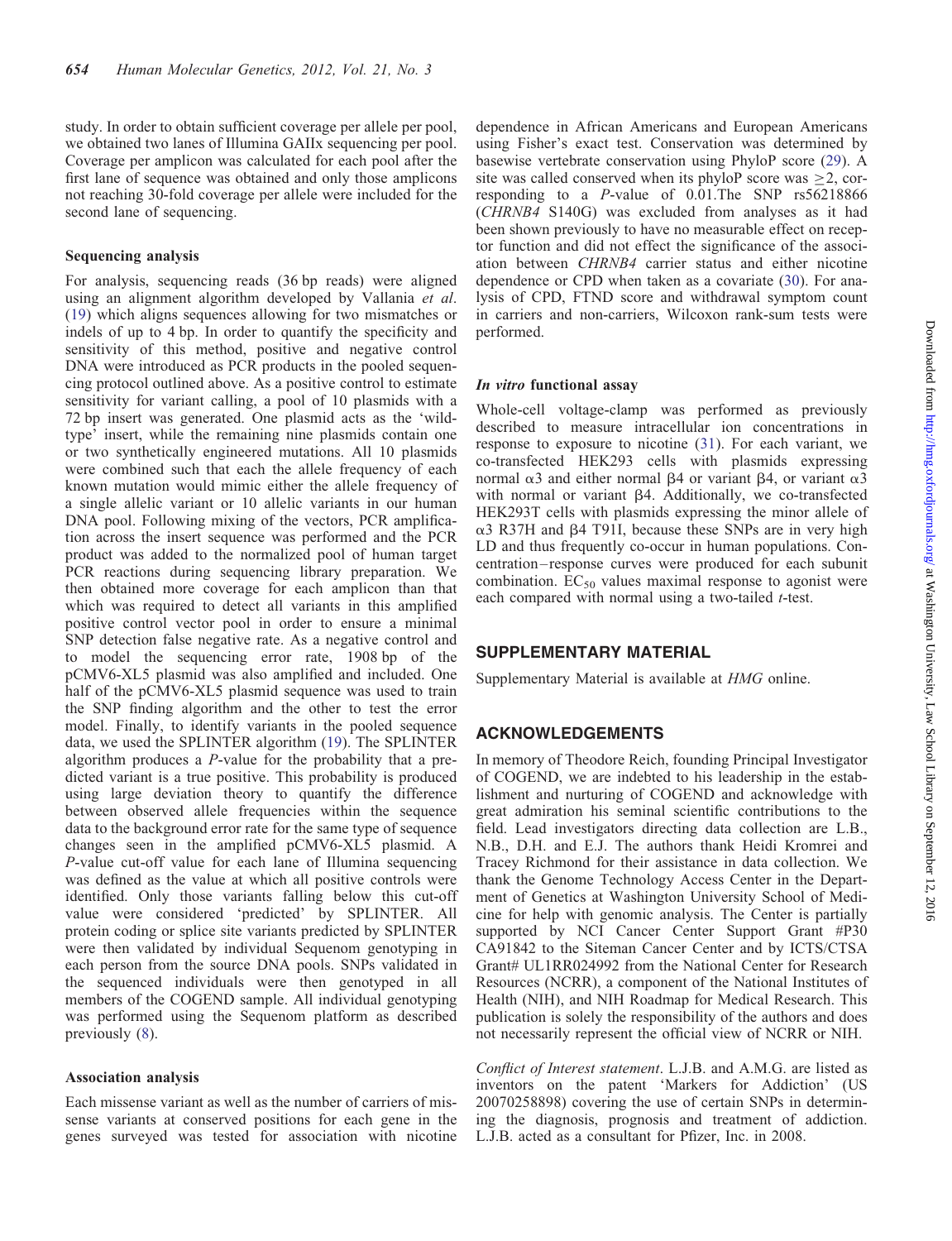study. In order to obtain sufficient coverage per allele per pool, we obtained two lanes of Illumina GAIIx sequencing per pool. Coverage per amplicon was calculated for each pool after the first lane of sequence was obtained and only those amplicons not reaching 30-fold coverage per allele were included for the second lane of sequencing.

#### Sequencing analysis

For analysis, sequencing reads (36 bp reads) were aligned using an alignment algorithm developed by Vallania et al. [\(19](#page-8-0)) which aligns sequences allowing for two mismatches or indels of up to 4 bp. In order to quantify the specificity and sensitivity of this method, positive and negative control DNA were introduced as PCR products in the pooled sequencing protocol outlined above. As a positive control to estimate sensitivity for variant calling, a pool of 10 plasmids with a 72 bp insert was generated. One plasmid acts as the 'wildtype' insert, while the remaining nine plasmids contain one or two synthetically engineered mutations. All 10 plasmids were combined such that each the allele frequency of each known mutation would mimic either the allele frequency of a single allelic variant or 10 allelic variants in our human DNA pool. Following mixing of the vectors, PCR amplification across the insert sequence was performed and the PCR product was added to the normalized pool of human target PCR reactions during sequencing library preparation. We then obtained more coverage for each amplicon than that which was required to detect all variants in this amplified positive control vector pool in order to ensure a minimal SNP detection false negative rate. As a negative control and to model the sequencing error rate, 1908 bp of the pCMV6-XL5 plasmid was also amplified and included. One half of the pCMV6-XL5 plasmid sequence was used to train the SNP finding algorithm and the other to test the error model. Finally, to identify variants in the pooled sequence data, we used the SPLINTER algorithm [\(19](#page-8-0)). The SPLINTER algorithm produces a P-value for the probability that a predicted variant is a true positive. This probability is produced using large deviation theory to quantify the difference between observed allele frequencies within the sequence data to the background error rate for the same type of sequence changes seen in the amplified pCMV6-XL5 plasmid. A P-value cut-off value for each lane of Illumina sequencing was defined as the value at which all positive controls were identified. Only those variants falling below this cut-off value were considered 'predicted' by SPLINTER. All protein coding or splice site variants predicted by SPLINTER were then validated by individual Sequenom genotyping in each person from the source DNA pools. SNPs validated in the sequenced individuals were then genotyped in all members of the COGEND sample. All individual genotyping was performed using the Sequenom platform as described previously ([8\)](#page-8-0).

#### Association analysis

Each missense variant as well as the number of carriers of missense variants at conserved positions for each gene in the genes surveyed was tested for association with nicotine

dependence in African Americans and European Americans using Fisher's exact test. Conservation was determined by basewise vertebrate conservation using PhyloP score [\(29](#page-8-0)). A site was called conserved when its phyloP score was >2, corresponding to a P-value of 0.01.The SNP rs56218866 (CHRNB4 S140G) was excluded from analyses as it had been shown previously to have no measurable effect on receptor function and did not effect the significance of the association between CHRNB4 carrier status and either nicotine dependence or CPD when taken as a covariate [\(30](#page-8-0)). For analysis of CPD, FTND score and withdrawal symptom count in carriers and non-carriers, Wilcoxon rank-sum tests were performed.

#### In vitro functional assay

Whole-cell voltage-clamp was performed as previously described to measure intracellular ion concentrations in response to exposure to nicotine [\(31](#page-8-0)). For each variant, we co-transfected HEK293 cells with plasmids expressing normal  $\alpha$ 3 and either normal  $\beta$ 4 or variant  $\beta$ 4, or variant  $\alpha$ 3 with normal or variant  $\beta$ 4. Additionally, we co-transfected HEK293T cells with plasmids expressing the minor allele of  $\alpha$ 3 R37H and  $\beta$ 4 T91I, because these SNPs are in very high LD and thus frequently co-occur in human populations. Concentration – response curves were produced for each subunit combination.  $EC_{50}$  values maximal response to agonist were each compared with normal using a two-tailed *t*-test.

### SUPPLEMENTARY MATERIAL

[Supplementary Material is available at](http://hmg.oxfordjournals.org/lookup/suppl/doi:10.1093/hmg/ddr498/-/DC1) HMG online.

## ACKNOWLEDGEMENTS

In memory of Theodore Reich, founding Principal Investigator of COGEND, we are indebted to his leadership in the establishment and nurturing of COGEND and acknowledge with great admiration his seminal scientific contributions to the field. Lead investigators directing data collection are L.B., N.B., D.H. and E.J. The authors thank Heidi Kromrei and Tracey Richmond for their assistance in data collection. We thank the Genome Technology Access Center in the Department of Genetics at Washington University School of Medicine for help with genomic analysis. The Center is partially supported by NCI Cancer Center Support Grant #P30 CA91842 to the Siteman Cancer Center and by ICTS/CTSA Grant# UL1RR024992 from the National Center for Research Resources (NCRR), a component of the National Institutes of Health (NIH), and NIH Roadmap for Medical Research. This publication is solely the responsibility of the authors and does not necessarily represent the official view of NCRR or NIH.

Conflict of Interest statement. L.J.B. and A.M.G. are listed as inventors on the patent 'Markers for Addiction' (US 20070258898) covering the use of certain SNPs in determining the diagnosis, prognosis and treatment of addiction. L.J.B. acted as a consultant for Pfizer, Inc. in 2008.